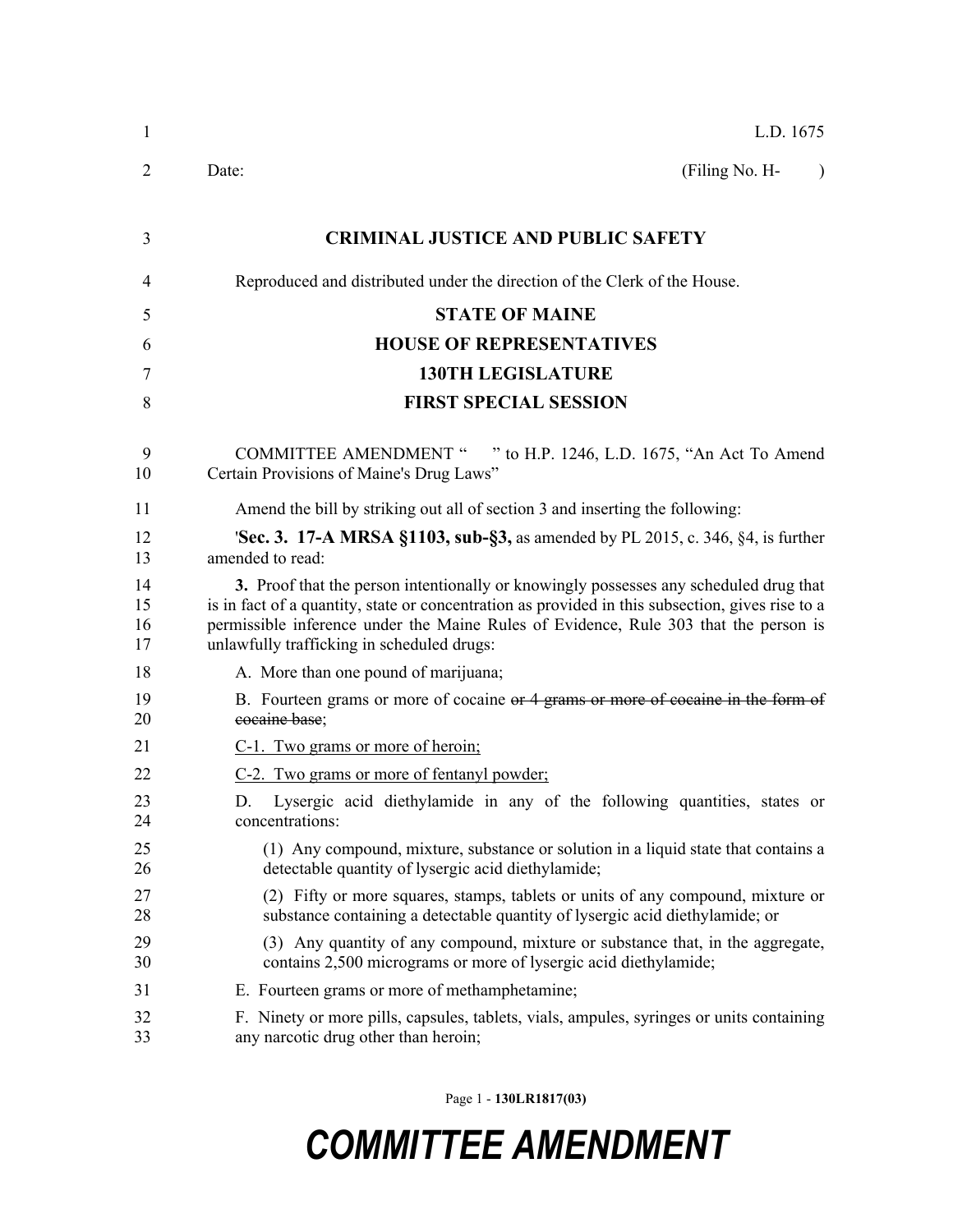| $\mathbf{1}$         | L.D. 1675                                                                                                                                                                                                                                                                                                                       |  |  |  |  |  |
|----------------------|---------------------------------------------------------------------------------------------------------------------------------------------------------------------------------------------------------------------------------------------------------------------------------------------------------------------------------|--|--|--|--|--|
| 2                    | (Filing No. H-<br>Date:<br>$\lambda$                                                                                                                                                                                                                                                                                            |  |  |  |  |  |
| 3                    | <b>CRIMINAL JUSTICE AND PUBLIC SAFETY</b>                                                                                                                                                                                                                                                                                       |  |  |  |  |  |
| 4                    | Reproduced and distributed under the direction of the Clerk of the House.                                                                                                                                                                                                                                                       |  |  |  |  |  |
| 5                    | <b>STATE OF MAINE</b>                                                                                                                                                                                                                                                                                                           |  |  |  |  |  |
| 6                    | <b>HOUSE OF REPRESENTATIVES</b>                                                                                                                                                                                                                                                                                                 |  |  |  |  |  |
| 7                    | <b>130TH LEGISLATURE</b>                                                                                                                                                                                                                                                                                                        |  |  |  |  |  |
| 8                    | <b>FIRST SPECIAL SESSION</b>                                                                                                                                                                                                                                                                                                    |  |  |  |  |  |
| 9<br>10              | " to H.P. 1246, L.D. 1675, "An Act To Amend<br><b>COMMITTEE AMENDMENT "</b><br>Certain Provisions of Maine's Drug Laws"                                                                                                                                                                                                         |  |  |  |  |  |
| 11                   | Amend the bill by striking out all of section 3 and inserting the following:                                                                                                                                                                                                                                                    |  |  |  |  |  |
| 12<br>13             | <b>Sec. 3. 17-A MRSA §1103, sub-§3, as amended by PL 2015, c. 346, §4, is further</b><br>amended to read:                                                                                                                                                                                                                       |  |  |  |  |  |
| 14<br>15<br>16<br>17 | 3. Proof that the person intentionally or knowingly possesses any scheduled drug that<br>is in fact of a quantity, state or concentration as provided in this subsection, gives rise to a<br>permissible inference under the Maine Rules of Evidence, Rule 303 that the person is<br>unlawfully trafficking in scheduled drugs: |  |  |  |  |  |
| 18                   | A. More than one pound of marijuana;                                                                                                                                                                                                                                                                                            |  |  |  |  |  |
| 19<br>20             | B. Fourteen grams or more of cocaine or 4 grams or more of cocaine in the form of<br>cocaine base;                                                                                                                                                                                                                              |  |  |  |  |  |
| 21                   | C-1. Two grams or more of heroin;                                                                                                                                                                                                                                                                                               |  |  |  |  |  |
| 22                   | C-2. Two grams or more of fentanyl powder;                                                                                                                                                                                                                                                                                      |  |  |  |  |  |
| 23<br>24             | Lysergic acid diethylamide in any of the following quantities, states or<br>D.<br>concentrations:                                                                                                                                                                                                                               |  |  |  |  |  |
| 25<br>26             | (1) Any compound, mixture, substance or solution in a liquid state that contains a<br>detectable quantity of lysergic acid diethylamide;                                                                                                                                                                                        |  |  |  |  |  |
| 27<br>28             | (2) Fifty or more squares, stamps, tablets or units of any compound, mixture or<br>substance containing a detectable quantity of lysergic acid diethylamide; or                                                                                                                                                                 |  |  |  |  |  |
| 29<br>30             | (3) Any quantity of any compound, mixture or substance that, in the aggregate,<br>contains 2,500 micrograms or more of lysergic acid diethylamide;                                                                                                                                                                              |  |  |  |  |  |
| 31                   | E. Fourteen grams or more of methamphetamine;                                                                                                                                                                                                                                                                                   |  |  |  |  |  |
| 32<br>33             | F. Ninety or more pills, capsules, tablets, vials, ampules, syringes or units containing<br>any narcotic drug other than heroin;                                                                                                                                                                                                |  |  |  |  |  |

Page 1 - **130LR1817(03)**

## *COMMITTEE AMENDMENT*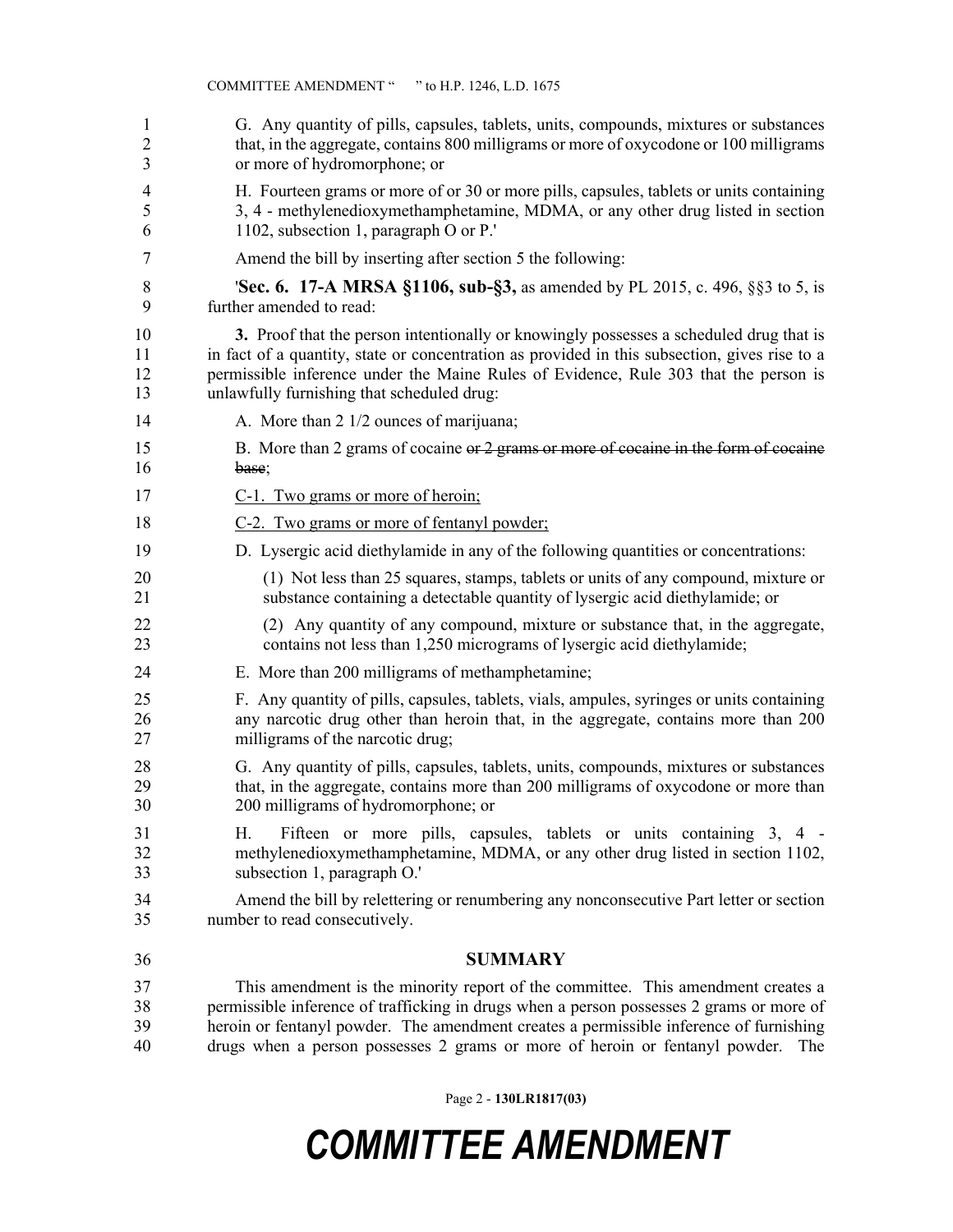| 1              | G. Any quantity of pills, capsules, tablets, units, compounds, mixtures or substances                                                                                                      |
|----------------|--------------------------------------------------------------------------------------------------------------------------------------------------------------------------------------------|
| $\overline{2}$ | that, in the aggregate, contains 800 milligrams or more of oxycodone or 100 milligrams                                                                                                     |
| 3              | or more of hydromorphone; or                                                                                                                                                               |
| 4              | H. Fourteen grams or more of or 30 or more pills, capsules, tablets or units containing                                                                                                    |
| 5              | 3, 4 - methylenedioxymethamphetamine, MDMA, or any other drug listed in section                                                                                                            |
| 6              | 1102, subsection 1, paragraph O or P.'                                                                                                                                                     |
| 7              | Amend the bill by inserting after section 5 the following:                                                                                                                                 |
| 8              | <b>Sec. 6. 17-A MRSA §1106, sub-§3,</b> as amended by PL 2015, c. 496, §§3 to 5, is                                                                                                        |
| 9              | further amended to read:                                                                                                                                                                   |
| 10             | 3. Proof that the person intentionally or knowingly possesses a scheduled drug that is                                                                                                     |
| 11             | in fact of a quantity, state or concentration as provided in this subsection, gives rise to a                                                                                              |
| 12             | permissible inference under the Maine Rules of Evidence, Rule 303 that the person is                                                                                                       |
| 13             | unlawfully furnishing that scheduled drug:                                                                                                                                                 |
| 14             | A. More than 2 1/2 ounces of marijuana;                                                                                                                                                    |
| 15             | B. More than 2 grams of cocaine or 2 grams or more of cocaine in the form of cocaine                                                                                                       |
| 16             | base;                                                                                                                                                                                      |
| 17             | C-1. Two grams or more of heroin;                                                                                                                                                          |
| 18             | C-2. Two grams or more of fentanyl powder;                                                                                                                                                 |
| 19             | D. Lysergic acid diethylamide in any of the following quantities or concentrations:                                                                                                        |
| 20             | (1) Not less than 25 squares, stamps, tablets or units of any compound, mixture or                                                                                                         |
| 21             | substance containing a detectable quantity of lysergic acid diethylamide; or                                                                                                               |
| 22             | (2) Any quantity of any compound, mixture or substance that, in the aggregate,                                                                                                             |
| 23             | contains not less than 1,250 micrograms of lysergic acid diethylamide;                                                                                                                     |
| 24             | E. More than 200 milligrams of methamphetamine;                                                                                                                                            |
| 25             | F. Any quantity of pills, capsules, tablets, vials, ampules, syringes or units containing                                                                                                  |
| 26             | any narcotic drug other than heroin that, in the aggregate, contains more than 200                                                                                                         |
| 27             | milligrams of the narcotic drug;                                                                                                                                                           |
| 28             | G. Any quantity of pills, capsules, tablets, units, compounds, mixtures or substances                                                                                                      |
| 29             | that, in the aggregate, contains more than 200 milligrams of oxycodone or more than                                                                                                        |
| 30             | 200 milligrams of hydromorphone; or                                                                                                                                                        |
| 31<br>32<br>33 | Fifteen or more pills, capsules, tablets or units containing 3, 4 -<br>Н.<br>methylenedioxymethamphetamine, MDMA, or any other drug listed in section 1102,<br>subsection 1, paragraph O.' |
| 34             | Amend the bill by relettering or renumbering any nonconsecutive Part letter or section                                                                                                     |
| 35             | number to read consecutively.                                                                                                                                                              |
| 36             | <b>SUMMARY</b>                                                                                                                                                                             |
| 37             | This amendment is the minority report of the committee. This amendment creates a                                                                                                           |
| 38             | permissible inference of trafficking in drugs when a person possesses 2 grams or more of                                                                                                   |
| 39             | heroin or fentanyl powder. The amendment creates a permissible inference of furnishing                                                                                                     |
| 40             | drugs when a person possesses 2 grams or more of heroin or fentanyl powder. The                                                                                                            |

Page 2 - **130LR1817(03)**

## *COMMITTEE AMENDMENT*